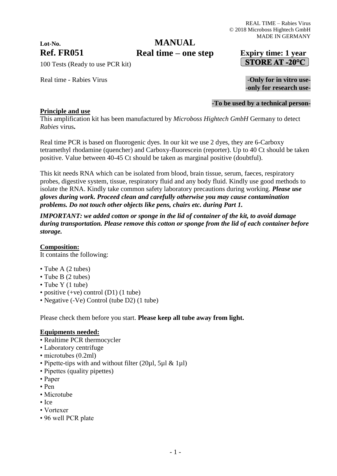# **Lot-No.**

### **Ref. FR051 Expiry time: 1 year Real time – one stepMANUAL**

STORE AT -20°C

100 Tests (Ready to use PCR kit)

Real time - Rabies Virus **Figure 2018** - Only for in vitro use-

## -**only for research use-**

#### **-To be used by a technical person-**

#### **Principle and use**

This amplification kit has been manufactured by *Microboss Hightech GmbH* Germany to detect *Rabies* virus**.**

Real time PCR is based on fluorogenic dyes. In our kit we use 2 dyes, they are 6-Carboxy tetramethyl rhodamine (quencher) and Carboxy-fluorescein (reporter). Up to 40 Ct should be taken positive. Value between 40-45 Ct should be taken as marginal positive (doubtful).

This kit needs RNA which can be isolated from blood, brain tissue, serum, faeces, respiratory probes, digestive system, tissue, respiratory fluid and any body fluid. Kindly use good methods to isolate the RNA. Kindly take common safety laboratory precautions during working. *Please use gloves during work. Proceed clean and carefully otherwise you may cause contamination problems. Do not touch other objects like pens, chairs etc. during Part 1.*

*IMPORTANT: we added cotton or sponge in the lid of container of the kit, to avoid damage during transportation. Please remove this cotton or sponge from the lid of each container before storage.*

**Composition:**

It contains the following:

- Tube A (2 tubes)
- Tube B (2 tubes)
- Tube Y (1 tube)
- positive (+ve) control (D1) (1 tube)
- Negative (-Ve) Control (tube D2) (1 tube)

Please check them before you start. **Please keep all tube away from light.**

#### **Equipments needed:**

- Realtime PCR thermocycler
- Laboratory centrifuge
- microtubes (0.2ml)
- Pipette-tips with and without filter (20ul, 5ul & 1ul)
- Pipettes (quality pipettes)
- Paper
- Pen
- Microtube
- $\bullet$  Ice
- Vortexer
- 96 well PCR plate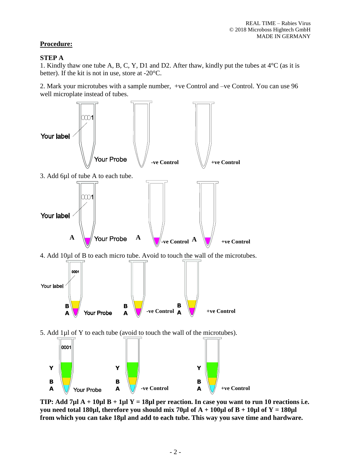#### **Procedure:**

#### **STEP A**

1. Kindly thaw one tube A, B, C, Y, D1 and D2. After thaw, kindly put the tubes at 4°C (as it is better). If the kit is not in use, store at -20°C.

2. Mark your microtubes with a sample number, +ve Control and –ve Control. You can use 96 well microplate instead of tubes.



**TIP: Add 7µl A + 10µl B + 1µl Y = 18µl per reaction. In case you want to run 10 reactions i.e. you need total 180µl, therefore you should mix 70µl of A + 100µl of B + 10µl of Y = 180µl from which you can take 18µl and add to each tube. This way you save time and hardware.**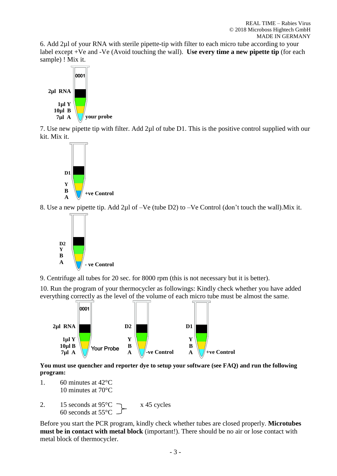6. Add 2µl of your RNA with sterile pipette-tip with filter to each micro tube according to your label except +Ve and -Ve (Avoid touching the wall). **Use every time a new pipette tip** (for each sample) ! Mix it.



7. Use new pipette tip with filter. Add 2µl of tube D1. This is the positive control supplied with our kit. Mix it.



8. Use a new pipette tip. Add 2µl of –Ve (tube D2) to –Ve Control (don't touch the wall).Mix it.



9. Centrifuge all tubes for 20 sec. for 8000 rpm (this is not necessary but it is better).

10. Run the program of your thermocycler as followings: Kindly check whether you have added everything correctly as the level of the volume of each micro tube must be almost the same.



**You must use quencher and reporter dye to setup your software (see FAQ) and run the following program:**

- 1. 60 minutes at 42°C 10 minutes at 70°C
- 2. 15 seconds at  $95^{\circ}$ C  $\rightarrow x$  45 cycles 60 seconds at 55°C

Before you start the PCR program, kindly check whether tubes are closed properly. **Microtubes must be in contact with metal block** (important!). There should be no air or lose contact with metal block of thermocycler.